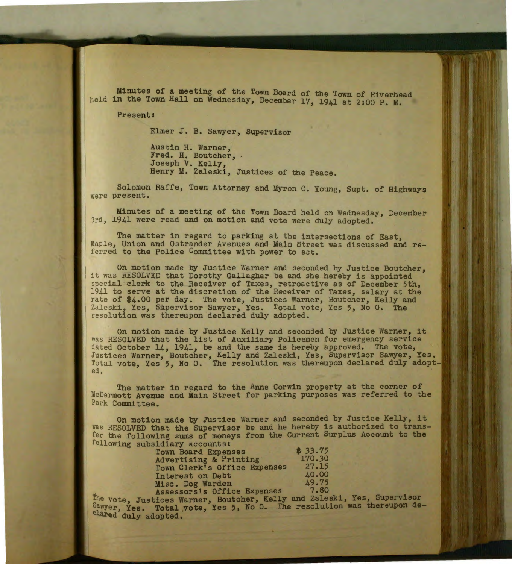Minutes of a meeting of the Town Board of the Town of Riverhead held in the Town Hall on Wednesday, December 17, 1941 at 2:00 P. M.

Present:

Elmer J. B. Savzyer, Supervisor

Austin H. Warner, Fred. H. Boutcher, .<br>Joseph V. Kelly, Henry M. Zaleski, Justices of the Peace.

Solomon Raffe, Town Attorney and Myron C. Young, Supt. of Highways were present.

Minutes of a meeting of the Town Board held on Wednesday, December 3rd. 1941 were read and on motion and vote were duly adopted.

The matter in regard to parking at the intersections of East, Maple, Union and Ostrander Avenues and Main Street was discussed and referred to the Police Committee with power to act.

On motion made by Justice Warner and seconded by Justice Boutcher, it was RESOLVED that Dorothy Gallagher be and she hereby is appointed special clerk to the Receiver of Taxes, retroactive as of December 5th, 1941 to serve at the discretion of the Receiver of Taxes, salary at the rate of \$4.00 per day. The vote, Justices Warner, Boutcher, Kelly and Zaleski, Yes, Supervisor Sawyer, Yes. Total vote, Yes 5, No 0. The resolution was thereupon declared duly adopted.

On motion made by Justice Kelly and seconded by Justice Warner, it was RESOLVED that the list of Auxiliary Policemen for emergency service dated October 14, 1941, be and the same is hereby approved. The vote, Justices Warner, Boutcher, Kelly and Zaleski, Yes, Supervisor Sawyer, Yes. Total vote, Yes 5, No 0. The resolution was thereupon declared duly adopted.

The matter in regard to the Anne Corwin property at the corner of McDermott Avenue and Main Street for parking purposes was referred to the Park Committee.

On motion made by Justice Warner and seconded by Justice Kelly, it was RESOLVED that the Supervisor be and he hereby is authorized to transfer the following sums of moneys from the Current Surplus Account to the following subsidiary accounts:

| <b>Town Board Expenses</b>   | \$33.75 |
|------------------------------|---------|
| Advertising & Printing       | 170.30  |
| Town Clerk's Office Expenses | 27.15   |
| Interest on Debt             | 40.00   |
| Misc. Dog Warden             | 49.75   |
| Assessors's Office Expenses  | 7.80    |

The vote, Justices Warner, Boutcher, Kelly and Zaleski, Yes, Supervisor Sawyer, Yes. Total vote, Yes 5, No 0. The resolution was thereupon declared duly adopted.